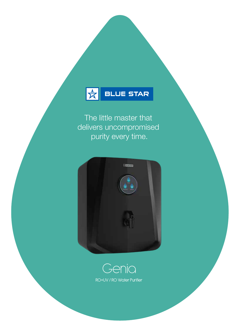

The little master that delivers uncompromised purity every time.



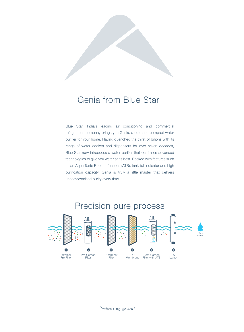# Genia from Blue Star

Blue Star, India's leading air conditioning and commercial refrigeration company brings you Genia, a cute and compact water purifier for your home. Having quenched the thirst of billions with its range of water coolers and dispensers for over seven decades, Blue Star now introduces a water purifier that combines advanced technologies to give you water at its best. Packed with features such as an Aqua Taste Booster function (ATB), tank-full indicator and high purification capacity, Genia is truly a little master that delivers uncompromised purity every time.



\*Availabl<sup>e</sup> <sup>i</sup><sup>n</sup> <sup>R</sup>O+U<sup>V</sup> <sup>v</sup>ariant.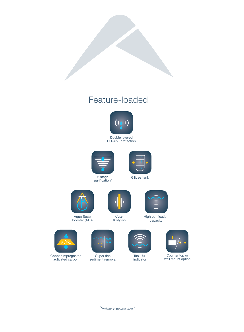# Feature-loaded







6 stage<br>purification\*

6 litres tank



Aqua Taste Booster (ATB)



& stylish



High purification capacity



Copper impregnated<br>activated carbon



Super fine<br>sediment removal



Tank-full indicator



Counter top or wall mount option

\*Availabl<sup>e</sup> <sup>i</sup><sup>n</sup> <sup>R</sup>O+U<sup>V</sup> <sup>v</sup>ariant.